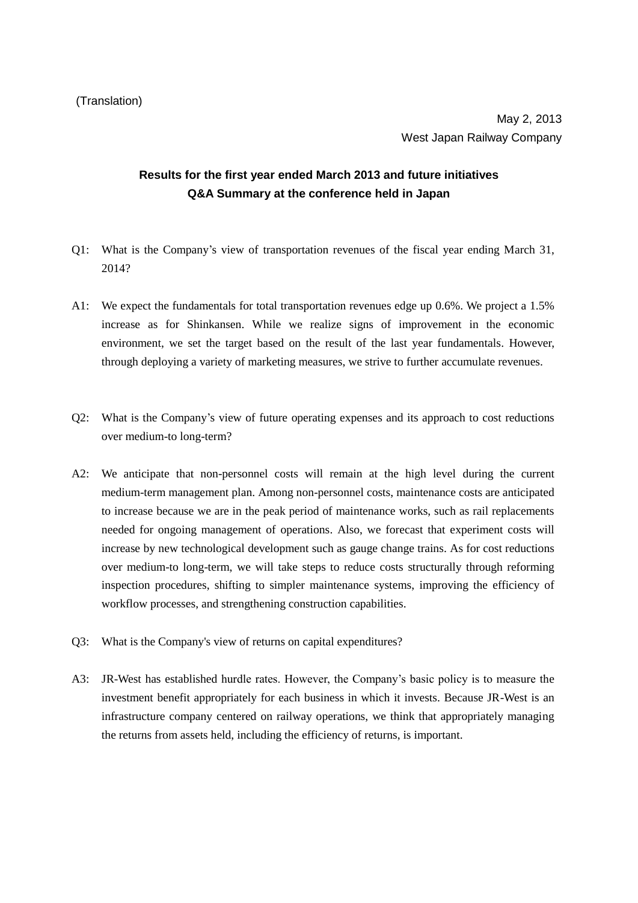## **Results for the first year ended March 2013 and future initiatives Q&A Summary at the conference held in Japan**

- Q1: What is the Company's view of transportation revenues of the fiscal year ending March 31, 2014?
- A1: We expect the fundamentals for total transportation revenues edge up 0.6%. We project a 1.5% increase as for Shinkansen. While we realize signs of improvement in the economic environment, we set the target based on the result of the last year fundamentals. However, through deploying a variety of marketing measures, we strive to further accumulate revenues.
- Q2: What is the Company's view of future operating expenses and its approach to cost reductions over medium-to long-term?
- A2: We anticipate that non-personnel costs will remain at the high level during the current medium-term management plan. Among non-personnel costs, maintenance costs are anticipated to increase because we are in the peak period of maintenance works, such as rail replacements needed for ongoing management of operations. Also, we forecast that experiment costs will increase by new technological development such as gauge change trains. As for cost reductions over medium-to long-term, we will take steps to reduce costs structurally through reforming inspection procedures, shifting to simpler maintenance systems, improving the efficiency of workflow processes, and strengthening construction capabilities.
- Q3: What is the Company's view of returns on capital expenditures?
- A3: JR-West has established hurdle rates. However, the Company's basic policy is to measure the investment benefit appropriately for each business in which it invests. Because JR-West is an infrastructure company centered on railway operations, we think that appropriately managing the returns from assets held, including the efficiency of returns, is important.